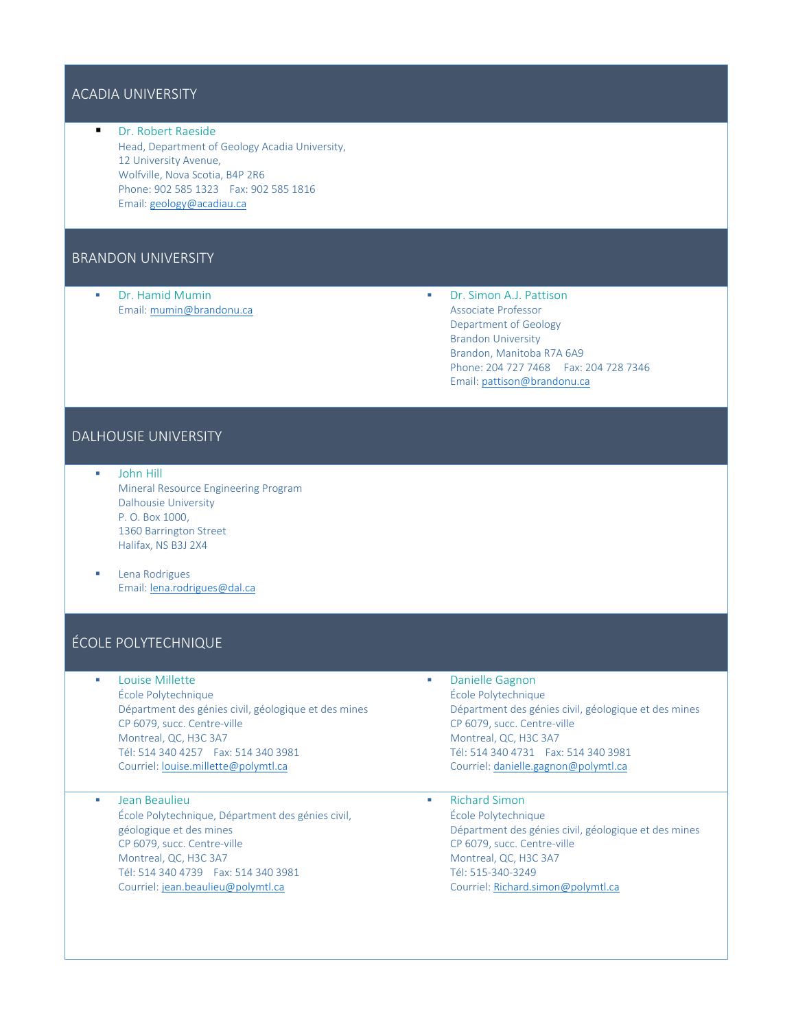### ACADIA UNIVERSITY

 Dr. Robert Raeside Head, Department of Geology Acadia University, 12 University Avenue, Wolfville, Nova Scotia, B4P 2R6 Phone: 902 585 1323 Fax: 902 585 1816 Email[: geology@acadiau.ca](mailto:geology@acadiau.ca)

### BRANDON UNIVERSITY

 Dr. Hamid Mumin Email[: mumin@brandonu.ca](mailto:mumin@brandonu.ca)  Dr. Simon A.J. Pattison Associate Professor Department of Geology Brandon University Brandon, Manitoba R7A 6A9 Phone: 204 727 7468 Fax: 204 728 7346 Email[: pattison@brandonu.ca](mailto:pattison@brandonu.ca)

### DALHOUSIE UNIVERSITY

- John Hill Mineral Resource Engineering Program Dalhousie University P. O. Box 1000, 1360 Barrington Street Halifax, NS B3J 2X4
- **Lena Rodrigues** Email[: lena.rodrigues@dal.ca](mailto:lena.rodrigues@dal.ca)

### ÉCOLE POLYTECHNIQUE

- **Louise Millette** École Polytechnique Départment des génies civil, géologique et des mines CP 6079, succ. Centre-ville Montreal, QC, H3C 3A7 Tél: 514 340 4257 Fax: 514 340 3981 Courriel[: louise.millette@polymtl.ca](mailto:louise.millette@polymtl.ca)
- **Jean Beaulieu** École Polytechnique, Départment des génies civil, géologique et des mines CP 6079, succ. Centre-ville Montreal, QC, H3C 3A7 Tél: 514 340 4739 Fax: 514 340 3981 Courriel[: jean.beaulieu@polymtl.ca](mailto:jean.beaulieu@polymtl.ca)
- Danielle Gagnon École Polytechnique Départment des génies civil, géologique et des mines CP 6079, succ. Centre-ville Montreal, QC, H3C 3A7 Tél: 514 340 4731 Fax: 514 340 3981 Courriel[: danielle.gagnon@polymtl.ca](mailto:danielle.gagnon@polymtl.ca)
- Richard Simon École Polytechnique Départment des génies civil, géologique et des mines CP 6079, succ. Centre-ville Montreal, QC, H3C 3A7 Tél: 515-340-3249 Courriel[: Richard.simon@polymtl.ca](mailto:Richard.simon@polymtl.ca)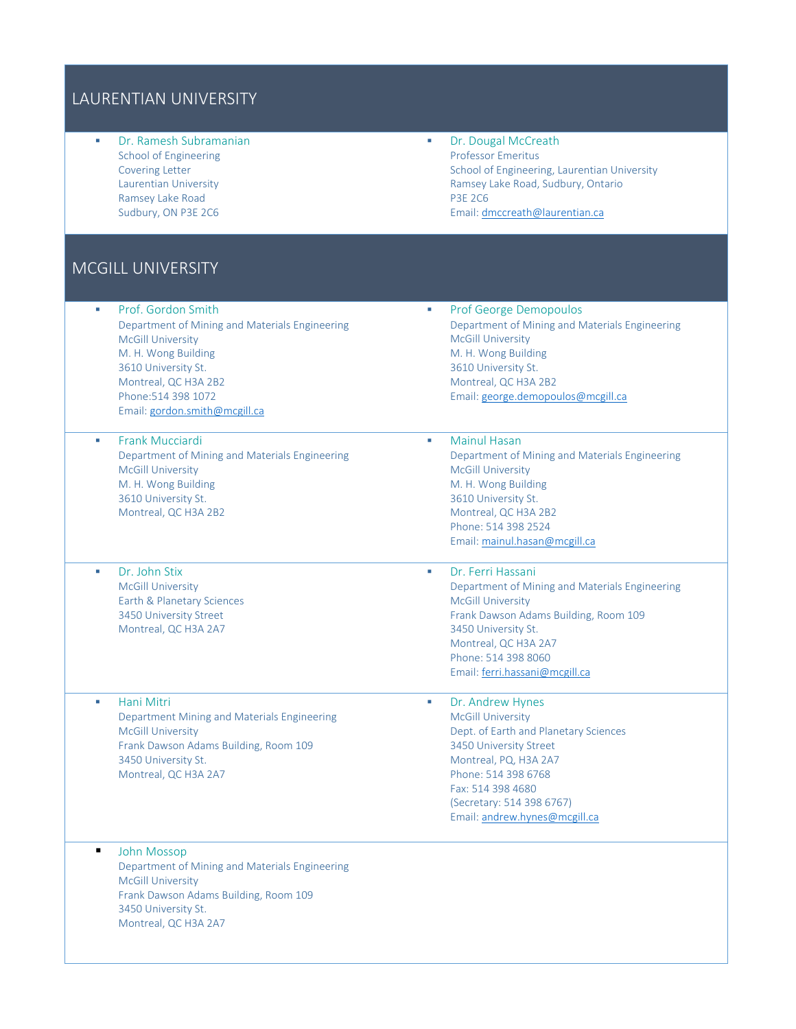## LAURENTIAN UNIVERSITY

 Dr. Ramesh Subramanian School of Engineering Covering Letter Laurentian University Ramsey Lake Road Sudbury, ON P3E 2C6

**Dr. Dougal McCreath** Professor Emeritus School of Engineering, Laurentian University Ramsey Lake Road, Sudbury, Ontario P3E 2C6 Email[: dmccreath@laurentian.ca](mailto:dmccreath@laurentian.ca)

## MCGILL UNIVERSITY

| Prof. Gordon Smith<br>×<br>Department of Mining and Materials Engineering<br><b>McGill University</b><br>M. H. Wong Building<br>3610 University St.<br>Montreal, QC H3A 2B2<br>Phone: 514 398 1072<br>Email: gordon.smith@mcgill.ca | <b>Prof George Demopoulos</b><br>×<br>Department of Mining and Materials Engineering<br><b>McGill University</b><br>M. H. Wong Building<br>3610 University St.<br>Montreal, QC H3A 2B2<br>Email: george.demopoulos@mcgill.ca                            |
|-------------------------------------------------------------------------------------------------------------------------------------------------------------------------------------------------------------------------------------|---------------------------------------------------------------------------------------------------------------------------------------------------------------------------------------------------------------------------------------------------------|
| <b>Frank Mucciardi</b><br>×.<br>Department of Mining and Materials Engineering<br><b>McGill University</b><br>M. H. Wong Building<br>3610 University St.<br>Montreal, QC H3A 2B2                                                    | <b>Mainul Hasan</b><br>H.<br>Department of Mining and Materials Engineering<br><b>McGill University</b><br>M. H. Wong Building<br>3610 University St.<br>Montreal, QC H3A 2B2<br>Phone: 514 398 2524<br>Email: mainul.hasan@mcgill.ca                   |
| Dr. John Stix<br>×<br><b>McGill University</b><br>Earth & Planetary Sciences<br>3450 University Street<br>Montreal, QC H3A 2A7                                                                                                      | Dr. Ferri Hassani<br>×<br>Department of Mining and Materials Engineering<br><b>McGill University</b><br>Frank Dawson Adams Building, Room 109<br>3450 University St.<br>Montreal, QC H3A 2A7<br>Phone: 514 398 8060<br>Email: ferri.hassani@mcgill.ca   |
| Hani Mitri<br>T,<br>Department Mining and Materials Engineering<br><b>McGill University</b><br>Frank Dawson Adams Building, Room 109<br>3450 University St.<br>Montreal, QC H3A 2A7                                                 | Dr. Andrew Hynes<br>×<br><b>McGill University</b><br>Dept. of Earth and Planetary Sciences<br>3450 University Street<br>Montreal, PQ, H3A 2A7<br>Phone: 514 398 6768<br>Fax: 514 398 4680<br>(Secretary: 514 398 6767)<br>Email: andrew.hynes@mcgill.ca |
| ٠<br><b>John Mossop</b><br>Department of Mining and Materials Engineering<br><b>McGill University</b><br>Frank Dawson Adams Building, Room 109<br>3450 University St.<br>Montreal, QC H3A 2A7                                       |                                                                                                                                                                                                                                                         |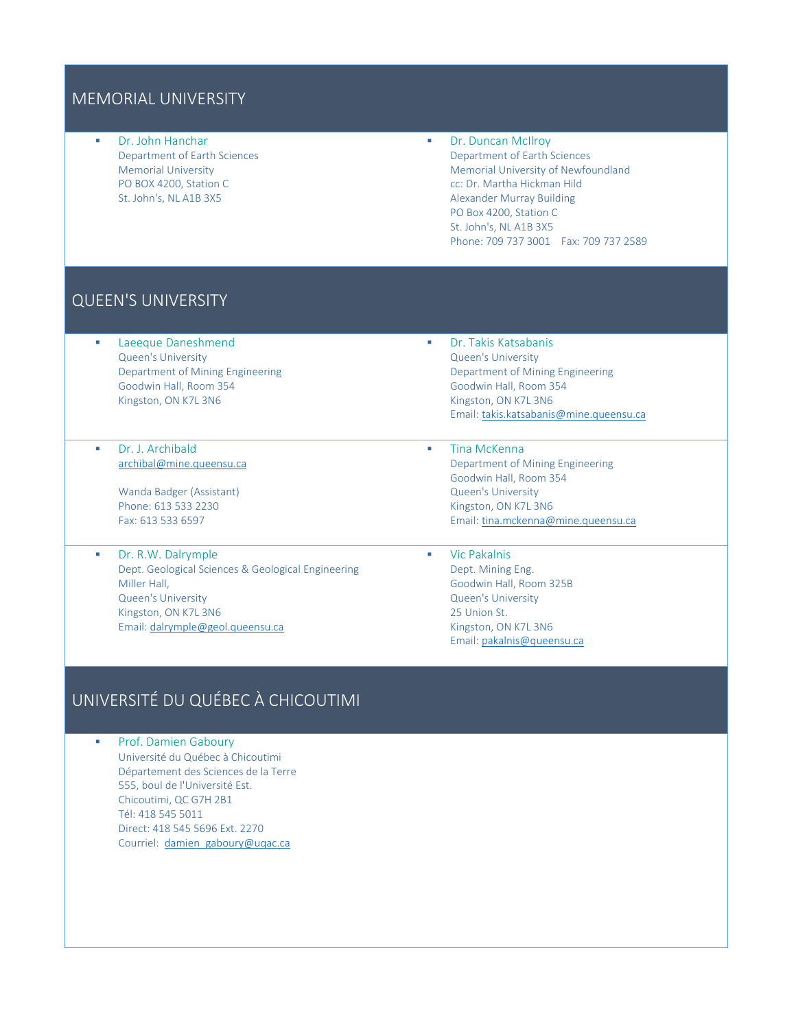### MEMORIAL UNIVERSITY

 Dr. John Hanchar Department of Earth Sciences Memorial University PO BOX 4200, Station C St. John's, NL A1B 3X5

**Dr. Duncan McIlroy** Department of Earth Sciences Memorial University of Newfoundland cc: Dr. Martha Hickman Hild Alexander Murray Building PO Box 4200, Station C St. John's, NL A1B 3X5 Phone: 709 737 3001 Fax: 709 737 2589

## QUEEN'S UNIVERSITY

- Laeeque Daneshmend Queen's University Department of Mining Engineering Goodwin Hall, Room 354 Kingston, ON K7L 3N6
- Dr. J. Archibald [archibal@mine.queensu.ca](mailto:archibal@mine.queensu.ca)
	- Wanda Badger (Assistant) Phone: 613 533 2230 Fax: 613 533 6597
- Dr. R.W. Dalrymple Dept. Geological Sciences & Geological Engineering Miller Hall, Queen's University Kingston, ON K7L 3N6 Email[: dalrymple@geol.queensu.ca](mailto:dalrymple@geol.queensu.ca)
- Dr. Takis Katsabanis Queen's University Department of Mining Engineering Goodwin Hall, Room 354 Kingston, ON K7L 3N6 Email[: takis.katsabanis@mine.queensu.ca](mailto:takis.katsabanis@mine.queensu.ca)
- **Tina McKenna** Department of Mining Engineering Goodwin Hall, Room 354 Queen's University Kingston, ON K7L 3N6 Email[: tina.mckenna@mine.queensu.ca](mailto:tina.mckenna@mine.queensu.ca)
- **Vic Pakalnis** Dept. Mining Eng. Goodwin Hall, Room 325B Queen's University 25 Union St. Kingston, ON K7L 3N6 Email[: pakalnis@queensu.ca](mailto:pakalnis@queensu.ca)

# UNIVERSITÉ DU QUÉBEC À CHICOUTIMI

**Prof. Damien Gaboury** Université du Québec à Chicoutimi Département des Sciences de la Terre 555, boul de l'Université Est. Chicoutimi, QC G7H 2B1 Tél: 418 545 5011 Direct: 418 545 5696 Ext. 2270 Courriel: [damien\\_gaboury@uqac.ca](mailto:damien_gaboury@uqac.ca)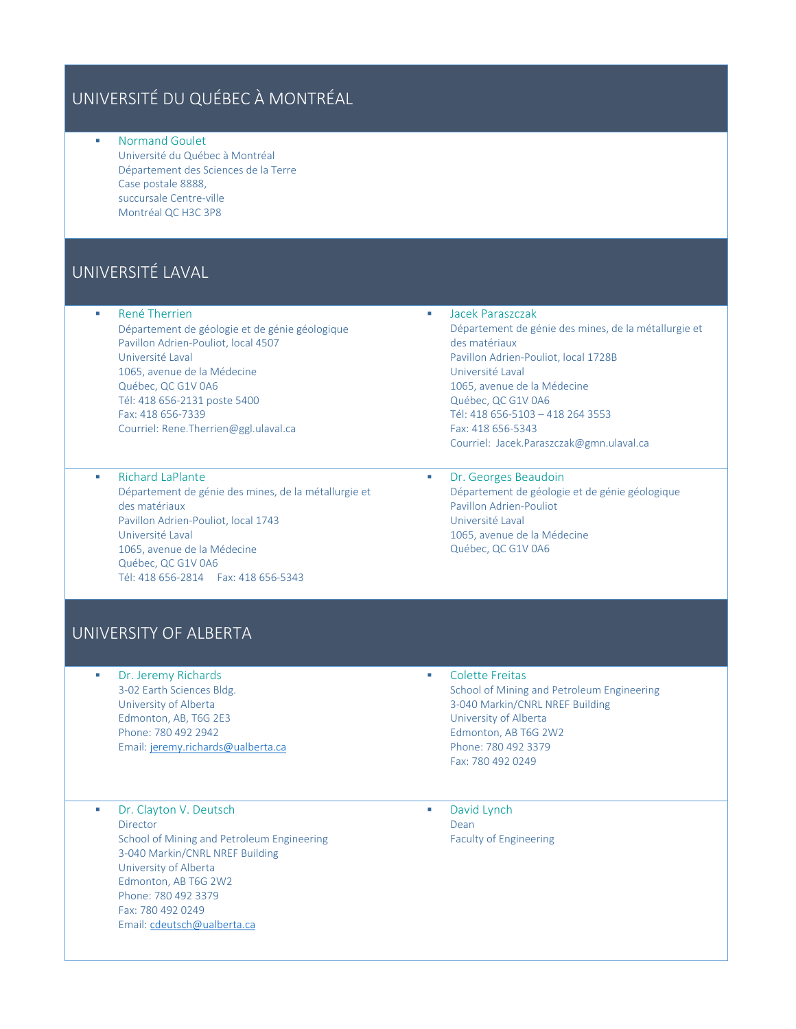# UNIVERSITÉ DU QUÉBEC À MONTRÉAL

 Normand Goulet Université du Québec à Montréal Département des Sciences de la Terre Case postale 8888, succursale Centre-ville Montréal QC H3C 3P8

# UNIVERSITÉ LAVAL

**René Therrien** 

Département de géologie et de génie géologique Pavillon Adrien-Pouliot, local 4507 Université Laval 1065, avenue de la Médecine Québec, QC G1V 0A6 Tél: 418 656-2131 poste 5400 Fax: 418 656-7339 Courriel: Rene.Therrien@ggl.ulaval.ca

 Richard LaPlante Département de génie des mines, de la métallurgie et des matériaux Pavillon Adrien-Pouliot, local 1743 Université Laval 1065, avenue de la Médecine Québec, QC G1V 0A6 Tél: 418 656-2814 Fax: 418 656-5343

 Jacek Paraszczak Département de génie des mines, de la métallurgie et des matériaux Pavillon Adrien-Pouliot, local 1728B Université Laval 1065, avenue de la Médecine Québec, QC G1V 0A6 Tél: 418 656-5103 – 418 264 3553 Fax: 418 656-5343 Courriel: Jacek.Paraszczak@gmn.ulaval.ca

**•** Dr. Georges Beaudoin Département de géologie et de génie géologique Pavillon Adrien-Pouliot Université Laval 1065, avenue de la Médecine Québec, QC G1V 0A6

## UNIVERSITY OF ALBERTA

**Dr. Jeremy Richards** 3-02 Earth Sciences Bldg. University of Alberta Edmonton, AB, T6G 2E3 Phone: 780 492 2942 Email[: jeremy.richards@ualberta.ca](mailto:jeremy.richards@ualberta.ca)

#### **EXECOLECTE:** Colette Freitas

School of Mining and Petroleum Engineering 3-040 Markin/CNRL NREF Building University of Alberta Edmonton, AB T6G 2W2 Phone: 780 492 3379 Fax: 780 492 0249

 Dr. Clayton V. Deutsch Director School of Mining and Petroleum Engineering 3-040 Markin/CNRL NREF Building University of Alberta Edmonton, AB T6G 2W2 Phone: 780 492 3379 Fax: 780 492 0249 Email[: cdeutsch@ualberta.ca](mailto:cdeutsch@ualberta.ca)

 David Lynch Dean Faculty of Engineering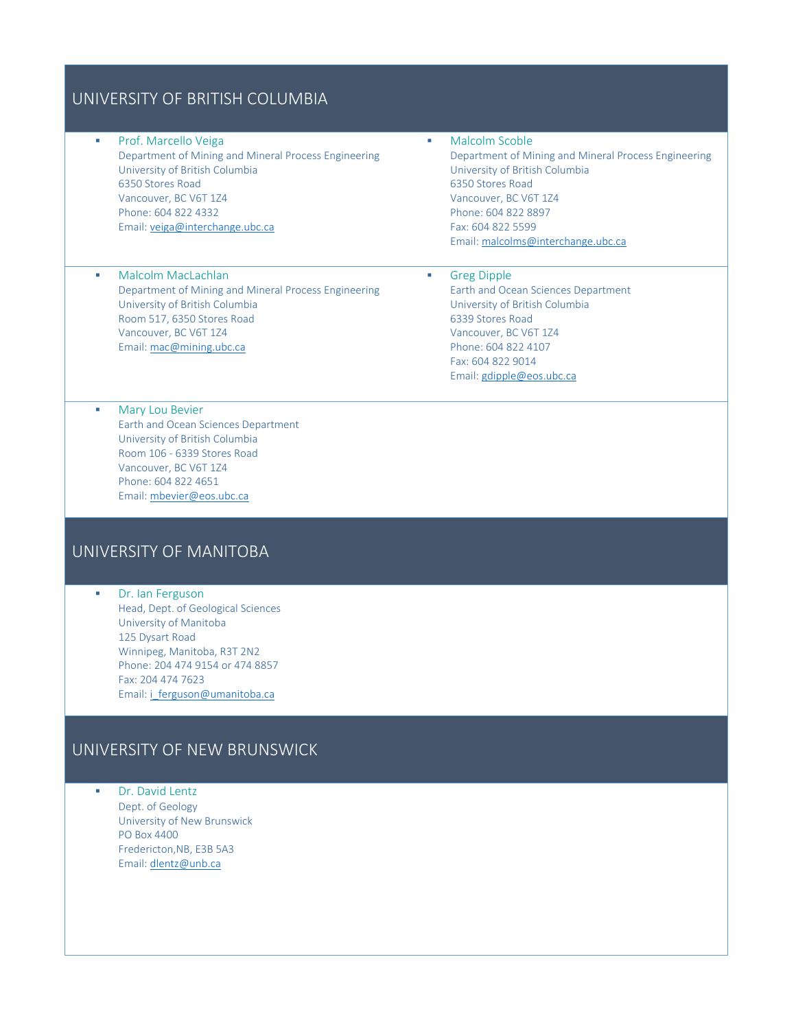### UNIVERSITY OF BRITISH COLUMBIA

**• Prof. Marcello Veiga** Department of Mining and Mineral Process Engineering University of British Columbia 6350 Stores Road Vancouver, BC V6T 1Z4 Phone: 604 822 4332 Email[: veiga@interchange.ubc.ca](mailto:veiga@interchange.ubc.ca)

Department of Mining and Mineral Process Engineering

**Malcolm Scoble** Department of Mining and Mineral Process Engineering University of British Columbia 6350 Stores Road Vancouver, BC V6T 1Z4 Phone: 604 822 8897 Fax: 604 822 5599 Email[: malcolms@interchange.ubc.ca](mailto:malcolms@interchange.ubc.ca)

#### **Greg Dipple**

Earth and Ocean Sciences Department University of British Columbia 6339 Stores Road Vancouver, BC V6T 1Z4 Phone: 604 822 4107 Fax: 604 822 9014 Email[: gdipple@eos.ubc.ca](mailto:gdipple@eos.ubc.ca)

**Mary Lou Bevier** Earth and Ocean Sciences Department University of British Columbia Room 106 - 6339 Stores Road Vancouver, BC V6T 1Z4 Phone: 604 822 4651 Email[: mbevier@eos.ubc.ca](mailto:mbevier@eos.ubc.ca)

### UNIVERSITY OF MANITOBA

**Malcolm MacLachlan** 

University of British Columbia Room 517, 6350 Stores Road Vancouver, BC V6T 1Z4 Email[: mac@mining.ubc.ca](mailto:mac@mining.ubc.ca)

**Dr. lan Ferguson** Head, Dept. of Geological Sciences University of Manitoba 125 Dysart Road Winnipeg, Manitoba, R3T 2N2 Phone: 204 474 9154 or 474 8857 Fax: 204 474 7623 Email: *i\_ferguson@umanitoba.ca* 

### UNIVERSITY OF NEW BRUNSWICK

**Dr. David Lentz** Dept. of Geology University of New Brunswick PO Box 4400 Fredericton,NB, E3B 5A3 Email[: dlentz@unb.ca](mailto:dlentz@unb.ca)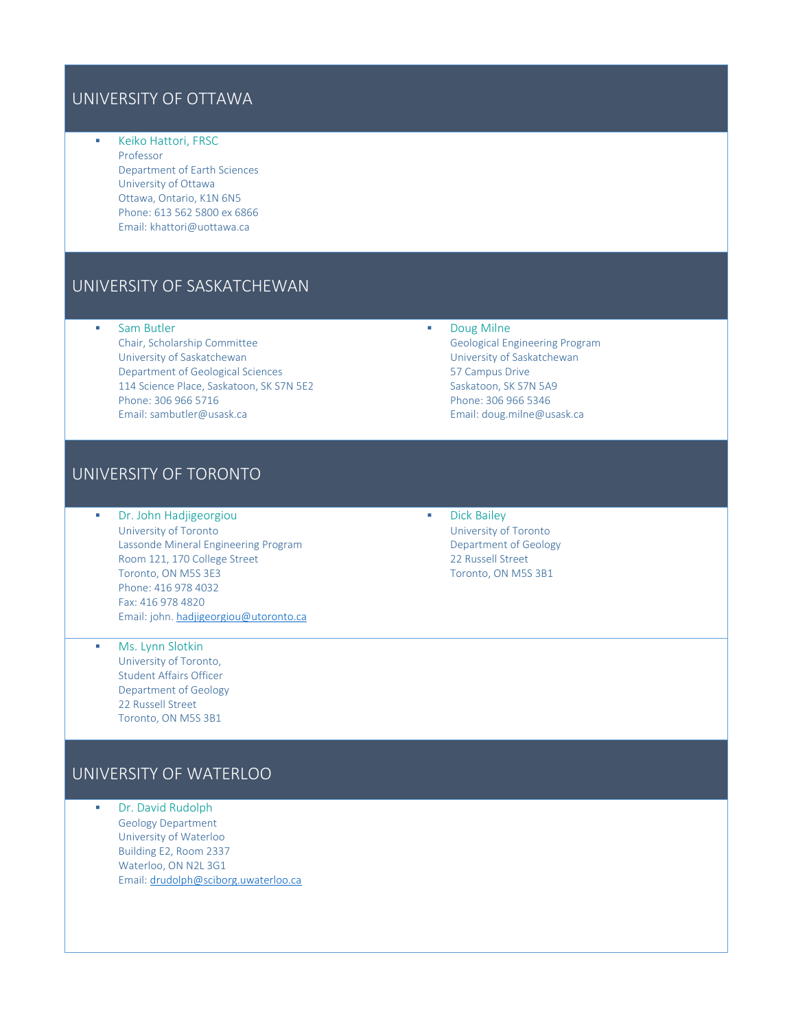### UNIVERSITY OF OTTAWA

**Keiko Hattori, FRSC** Professor Department of Earth Sciences University of Ottawa Ottawa, Ontario, K1N 6N5 Phone: 613 562 5800 ex 6866 Email: khattori@uottawa.ca

### UNIVERSITY OF SASKATCHEWAN

- **Sam Butler** 
	- Chair, Scholarship Committee University of Saskatchewan Department of Geological Sciences 114 Science Place, Saskatoon, SK S7N 5E2 Phone: 306 966 5716 Email: sambutler@usask.ca

### UNIVERSITY OF TORONTO

- **Dr. John Hadjigeorgiou** University of Toronto Lassonde Mineral Engineering Program Room 121, 170 College Street Toronto, ON M5S 3E3 Phone: 416 978 4032 Fax: 416 978 4820 Email: john[. hadjigeorgiou@utoronto.ca](mailto:hadjigeorgiou@utoronto.ca)
- **Ms. Lynn Slotkin** University of Toronto, Student Affairs Officer Department of Geology 22 Russell Street Toronto, ON M5S 3B1

## UNIVERSITY OF WATERLOO

**Dr. David Rudolph** Geology Department University of Waterloo Building E2, Room 2337 Waterloo, ON N2L 3G1 Email[: drudolph@sciborg.uwaterloo.ca](mailto:drudolph@sciborg.uwaterloo.ca) Geological Engineering Program University of Saskatchewan 57 Campus Drive Saskatoon, SK S7N 5A9 Phone: 306 966 5346 Email: doug.milne@usask.ca

**Doug Milne** 

**Dick Bailey** University of Toronto Department of Geology 22 Russell Street Toronto, ON M5S 3B1